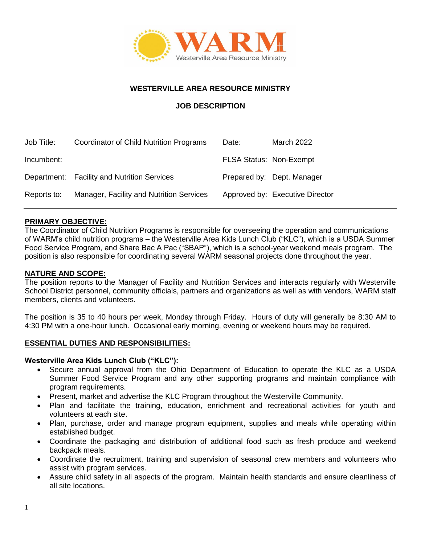

## **WESTERVILLE AREA RESOURCE MINISTRY**

## **JOB DESCRIPTION**

| Job Title:  | Coordinator of Child Nutrition Programs     | Date:                          | <b>March 2022</b>               |
|-------------|---------------------------------------------|--------------------------------|---------------------------------|
| Incumbent:  |                                             | <b>FLSA Status: Non-Exempt</b> |                                 |
|             | Department: Facility and Nutrition Services |                                | Prepared by: Dept. Manager      |
| Reports to: | Manager, Facility and Nutrition Services    |                                | Approved by: Executive Director |

### **PRIMARY OBJECTIVE:**

The Coordinator of Child Nutrition Programs is responsible for overseeing the operation and communications of WARM's child nutrition programs – the Westerville Area Kids Lunch Club ("KLC"), which is a USDA Summer Food Service Program, and Share Bac A Pac ("SBAP"), which is a school-year weekend meals program. The position is also responsible for coordinating several WARM seasonal projects done throughout the year.

### **NATURE AND SCOPE:**

The position reports to the Manager of Facility and Nutrition Services and interacts regularly with Westerville School District personnel, community officials, partners and organizations as well as with vendors, WARM staff members, clients and volunteers.

The position is 35 to 40 hours per week, Monday through Friday. Hours of duty will generally be 8:30 AM to 4:30 PM with a one-hour lunch. Occasional early morning, evening or weekend hours may be required.

### **ESSENTIAL DUTIES AND RESPONSIBILITIES:**

### **Westerville Area Kids Lunch Club ("KLC"):**

- Secure annual approval from the Ohio Department of Education to operate the KLC as a USDA Summer Food Service Program and any other supporting programs and maintain compliance with program requirements.
- Present, market and advertise the KLC Program throughout the Westerville Community.
- Plan and facilitate the training, education, enrichment and recreational activities for youth and volunteers at each site.
- Plan, purchase, order and manage program equipment, supplies and meals while operating within established budget.
- Coordinate the packaging and distribution of additional food such as fresh produce and weekend backpack meals.
- Coordinate the recruitment, training and supervision of seasonal crew members and volunteers who assist with program services.
- Assure child safety in all aspects of the program. Maintain health standards and ensure cleanliness of all site locations.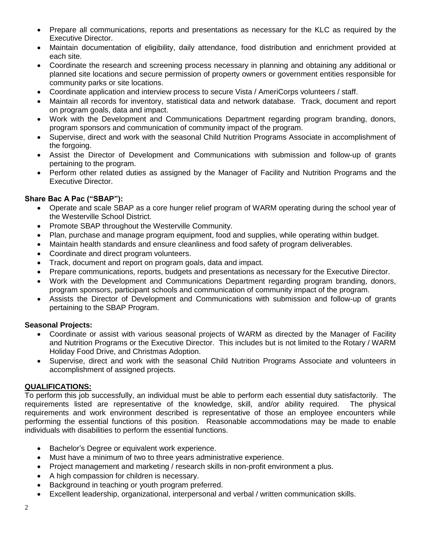- Prepare all communications, reports and presentations as necessary for the KLC as required by the Executive Director.
- Maintain documentation of eligibility, daily attendance, food distribution and enrichment provided at each site.
- Coordinate the research and screening process necessary in planning and obtaining any additional or planned site locations and secure permission of property owners or government entities responsible for community parks or site locations.
- Coordinate application and interview process to secure Vista / AmeriCorps volunteers / staff.
- Maintain all records for inventory, statistical data and network database. Track, document and report on program goals, data and impact.
- Work with the Development and Communications Department regarding program branding, donors, program sponsors and communication of community impact of the program.
- Supervise, direct and work with the seasonal Child Nutrition Programs Associate in accomplishment of the forgoing.
- Assist the Director of Development and Communications with submission and follow-up of grants pertaining to the program.
- Perform other related duties as assigned by the Manager of Facility and Nutrition Programs and the Executive Director.

# **Share Bac A Pac ("SBAP"):**

- Operate and scale SBAP as a core hunger relief program of WARM operating during the school year of the Westerville School District.
- Promote SBAP throughout the Westerville Community.
- Plan, purchase and manage program equipment, food and supplies, while operating within budget.
- Maintain health standards and ensure cleanliness and food safety of program deliverables.
- Coordinate and direct program volunteers.
- Track, document and report on program goals, data and impact.
- Prepare communications, reports, budgets and presentations as necessary for the Executive Director.
- Work with the Development and Communications Department regarding program branding, donors, program sponsors, participant schools and communication of community impact of the program.
- Assists the Director of Development and Communications with submission and follow-up of grants pertaining to the SBAP Program.

## **Seasonal Projects:**

- Coordinate or assist with various seasonal projects of WARM as directed by the Manager of Facility and Nutrition Programs or the Executive Director. This includes but is not limited to the Rotary / WARM Holiday Food Drive, and Christmas Adoption.
- Supervise, direct and work with the seasonal Child Nutrition Programs Associate and volunteers in accomplishment of assigned projects.

## **QUALIFICATIONS:**

To perform this job successfully, an individual must be able to perform each essential duty satisfactorily. The requirements listed are representative of the knowledge, skill, and/or ability required. The physical requirements and work environment described is representative of those an employee encounters while performing the essential functions of this position. Reasonable accommodations may be made to enable individuals with disabilities to perform the essential functions.

- Bachelor's Degree or equivalent work experience.
- Must have a minimum of two to three years administrative experience.
- Project management and marketing / research skills in non-profit environment a plus.
- A high compassion for children is necessary.
- Background in teaching or youth program preferred.
- Excellent leadership, organizational, interpersonal and verbal / written communication skills.